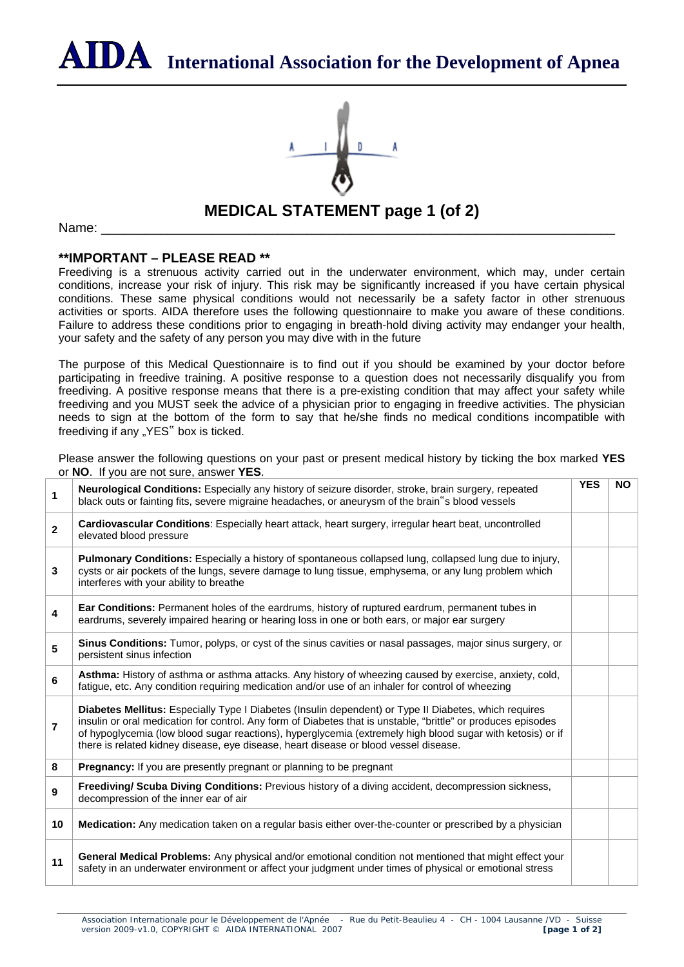**International Association for the Development of Apnea**



## **MEDICAL STATEMENT page 1 (of 2)**

Name: \_\_\_\_\_\_\_\_\_\_\_\_\_\_\_\_\_\_\_\_\_\_\_\_\_\_\_\_\_\_\_\_\_\_\_\_\_\_\_\_\_\_\_\_\_\_\_\_\_\_\_\_\_\_\_\_\_\_\_\_\_\_\_\_\_\_\_\_\_\_

## **\*\*IMPORTANT – PLEASE READ \*\***

Freediving is a strenuous activity carried out in the underwater environment, which may, under certain conditions, increase your risk of injury. This risk may be significantly increased if you have certain physical conditions. These same physical conditions would not necessarily be a safety factor in other strenuous activities or sports. AIDA therefore uses the following questionnaire to make you aware of these conditions. Failure to address these conditions prior to engaging in breath-hold diving activity may endanger your health, your safety and the safety of any person you may dive with in the future

The purpose of this Medical Questionnaire is to find out if you should be examined by your doctor before participating in freedive training. A positive response to a question does not necessarily disqualify you from freediving. A positive response means that there is a pre-existing condition that may affect your safety while freediving and you MUST seek the advice of a physician prior to engaging in freedive activities. The physician needs to sign at the bottom of the form to say that he/she finds no medical conditions incompatible with freediving if any "YES" box is ticked.

Please answer the following questions on your past or present medical history by ticking the box marked **YES** or **NO**. If you are not sure, answer **YES**.

| 1              | Neurological Conditions: Especially any history of seizure disorder, stroke, brain surgery, repeated<br>black outs or fainting fits, severe migraine headaches, or aneurysm of the brain "s blood vessels                                                                                                                                                                                                                    | <b>YES</b> | <b>NO</b> |
|----------------|------------------------------------------------------------------------------------------------------------------------------------------------------------------------------------------------------------------------------------------------------------------------------------------------------------------------------------------------------------------------------------------------------------------------------|------------|-----------|
| $\overline{2}$ | Cardiovascular Conditions: Especially heart attack, heart surgery, irregular heart beat, uncontrolled<br>elevated blood pressure                                                                                                                                                                                                                                                                                             |            |           |
| 3              | <b>Pulmonary Conditions:</b> Especially a history of spontaneous collapsed lung, collapsed lung due to injury,<br>cysts or air pockets of the lungs, severe damage to lung tissue, emphysema, or any lung problem which<br>interferes with your ability to breathe                                                                                                                                                           |            |           |
| 4              | Ear Conditions: Permanent holes of the eardrums, history of ruptured eardrum, permanent tubes in<br>eardrums, severely impaired hearing or hearing loss in one or both ears, or major ear surgery                                                                                                                                                                                                                            |            |           |
| 5              | Sinus Conditions: Tumor, polyps, or cyst of the sinus cavities or nasal passages, major sinus surgery, or<br>persistent sinus infection                                                                                                                                                                                                                                                                                      |            |           |
| 6              | Asthma: History of asthma or asthma attacks. Any history of wheezing caused by exercise, anxiety, cold,<br>fatigue, etc. Any condition requiring medication and/or use of an inhaler for control of wheezing                                                                                                                                                                                                                 |            |           |
| 7              | Diabetes Mellitus: Especially Type I Diabetes (Insulin dependent) or Type II Diabetes, which requires<br>insulin or oral medication for control. Any form of Diabetes that is unstable, "brittle" or produces episodes<br>of hypoglycemia (low blood sugar reactions), hyperglycemia (extremely high blood sugar with ketosis) or if<br>there is related kidney disease, eye disease, heart disease or blood vessel disease. |            |           |
| 8              | <b>Pregnancy:</b> If you are presently pregnant or planning to be pregnant                                                                                                                                                                                                                                                                                                                                                   |            |           |
| 9              | Freediving/ Scuba Diving Conditions: Previous history of a diving accident, decompression sickness,<br>decompression of the inner ear of air                                                                                                                                                                                                                                                                                 |            |           |
| 10             | <b>Medication:</b> Any medication taken on a regular basis either over-the-counter or prescribed by a physician                                                                                                                                                                                                                                                                                                              |            |           |
| 11             | General Medical Problems: Any physical and/or emotional condition not mentioned that might effect your<br>safety in an underwater environment or affect your judgment under times of physical or emotional stress                                                                                                                                                                                                            |            |           |